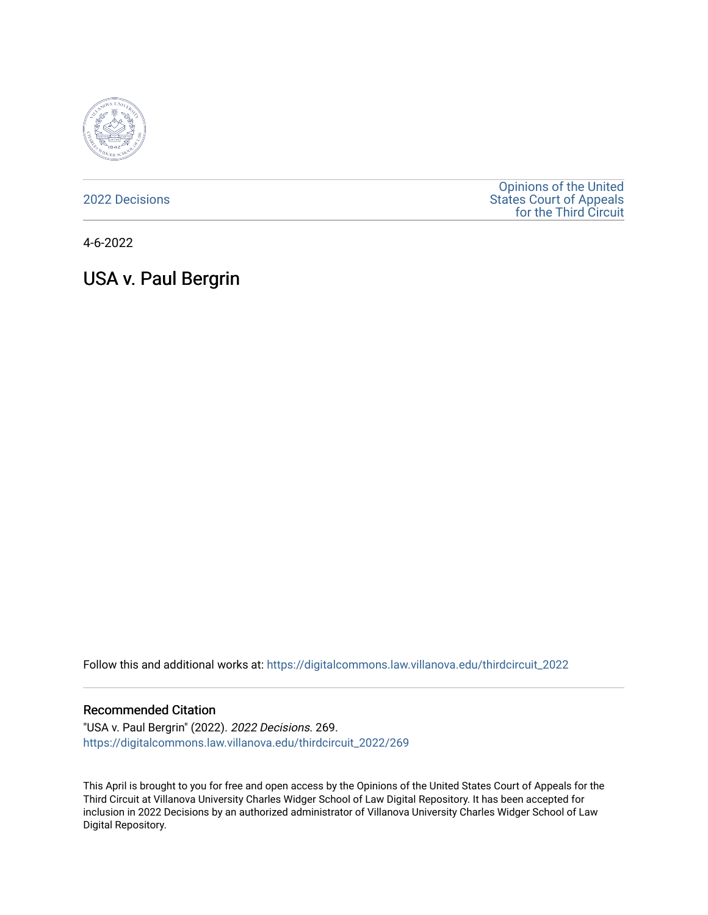

[2022 Decisions](https://digitalcommons.law.villanova.edu/thirdcircuit_2022)

[Opinions of the United](https://digitalcommons.law.villanova.edu/thirdcircuit)  [States Court of Appeals](https://digitalcommons.law.villanova.edu/thirdcircuit)  [for the Third Circuit](https://digitalcommons.law.villanova.edu/thirdcircuit) 

4-6-2022

# USA v. Paul Bergrin

Follow this and additional works at: [https://digitalcommons.law.villanova.edu/thirdcircuit\\_2022](https://digitalcommons.law.villanova.edu/thirdcircuit_2022?utm_source=digitalcommons.law.villanova.edu%2Fthirdcircuit_2022%2F269&utm_medium=PDF&utm_campaign=PDFCoverPages) 

#### Recommended Citation

"USA v. Paul Bergrin" (2022). 2022 Decisions. 269. [https://digitalcommons.law.villanova.edu/thirdcircuit\\_2022/269](https://digitalcommons.law.villanova.edu/thirdcircuit_2022/269?utm_source=digitalcommons.law.villanova.edu%2Fthirdcircuit_2022%2F269&utm_medium=PDF&utm_campaign=PDFCoverPages)

This April is brought to you for free and open access by the Opinions of the United States Court of Appeals for the Third Circuit at Villanova University Charles Widger School of Law Digital Repository. It has been accepted for inclusion in 2022 Decisions by an authorized administrator of Villanova University Charles Widger School of Law Digital Repository.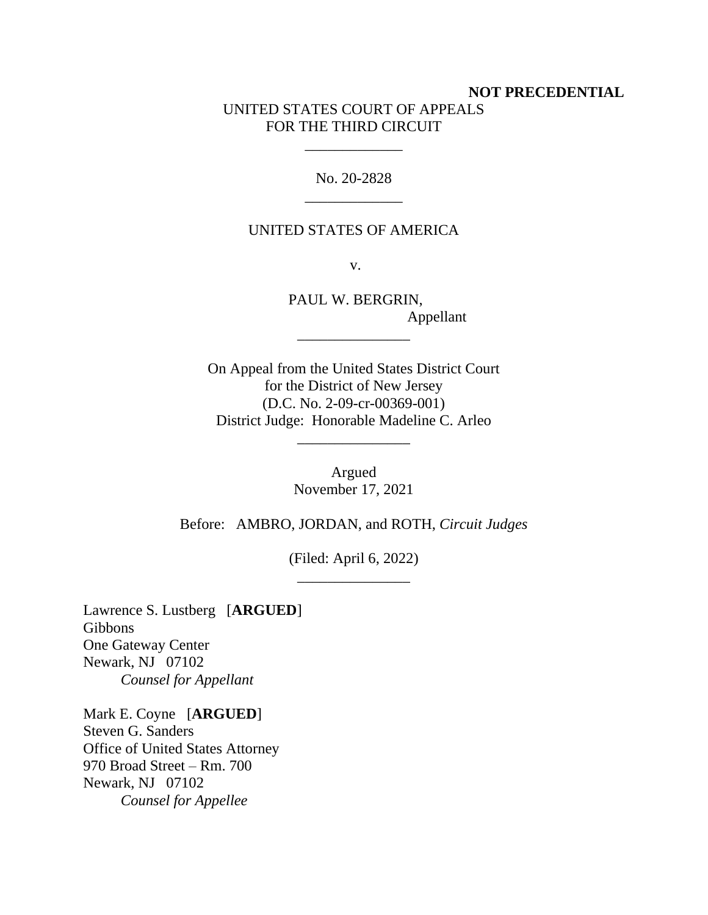# **NOT PRECEDENTIAL** UNITED STATES COURT OF APPEALS FOR THE THIRD CIRCUIT

No. 20-2828 \_\_\_\_\_\_\_\_\_\_\_\_\_

\_\_\_\_\_\_\_\_\_\_\_\_\_

# UNITED STATES OF AMERICA

v.

PAUL W. BERGRIN, Appellant

On Appeal from the United States District Court for the District of New Jersey (D.C. No. 2-09-cr-00369-001) District Judge: Honorable Madeline C. Arleo

\_\_\_\_\_\_\_\_\_\_\_\_\_\_\_

\_\_\_\_\_\_\_\_\_\_\_\_\_\_\_

Argued November 17, 2021

Before: AMBRO, JORDAN, and ROTH, *Circuit Judges*

(Filed: April 6, 2022) \_\_\_\_\_\_\_\_\_\_\_\_\_\_\_

Lawrence S. Lustberg [**ARGUED**] Gibbons One Gateway Center Newark, NJ 07102 *Counsel for Appellant*

Mark E. Coyne [**ARGUED**] Steven G. Sanders Office of United States Attorney 970 Broad Street – Rm. 700 Newark, NJ 07102 *Counsel for Appellee*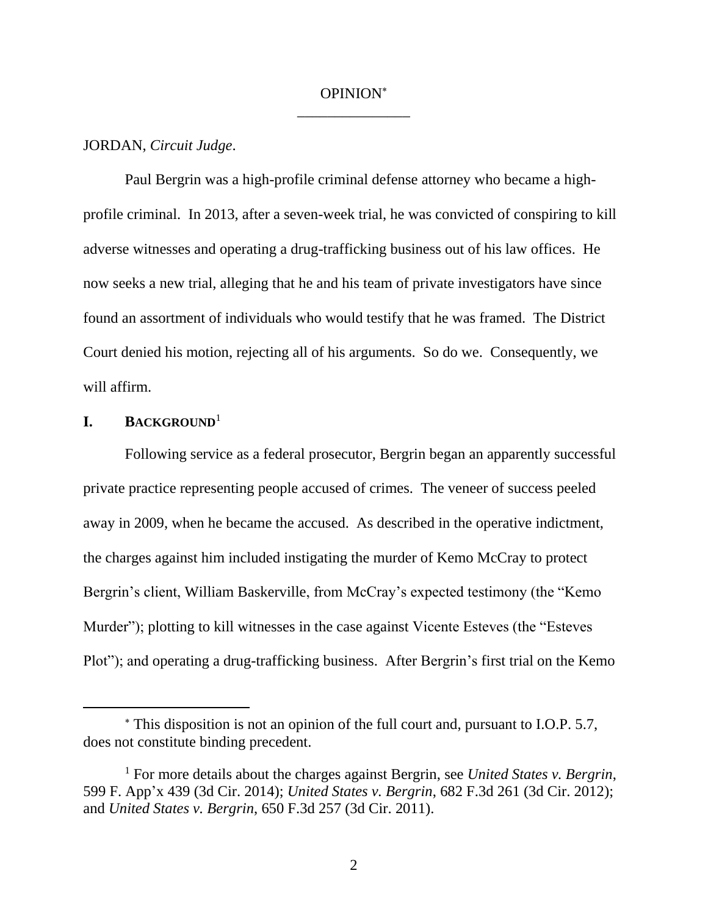# OPINION \_\_\_\_\_\_\_\_\_\_\_\_\_\_\_

#### JORDAN, *Circuit Judge*.

Paul Bergrin was a high-profile criminal defense attorney who became a highprofile criminal. In 2013, after a seven-week trial, he was convicted of conspiring to kill adverse witnesses and operating a drug-trafficking business out of his law offices. He now seeks a new trial, alleging that he and his team of private investigators have since found an assortment of individuals who would testify that he was framed. The District Court denied his motion, rejecting all of his arguments. So do we. Consequently, we will affirm.

## **I. BACKGROUND**<sup>1</sup>

Following service as a federal prosecutor, Bergrin began an apparently successful private practice representing people accused of crimes. The veneer of success peeled away in 2009, when he became the accused. As described in the operative indictment, the charges against him included instigating the murder of Kemo McCray to protect Bergrin's client, William Baskerville, from McCray's expected testimony (the "Kemo Murder"); plotting to kill witnesses in the case against Vicente Esteves (the "Esteves Plot"); and operating a drug-trafficking business. After Bergrin's first trial on the Kemo

This disposition is not an opinion of the full court and, pursuant to I.O.P. 5.7, does not constitute binding precedent.

<sup>1</sup> For more details about the charges against Bergrin, see *United States v. Bergrin*, 599 F. App'x 439 (3d Cir. 2014); *United States v. Bergrin*, 682 F.3d 261 (3d Cir. 2012); and *United States v. Bergrin*, 650 F.3d 257 (3d Cir. 2011).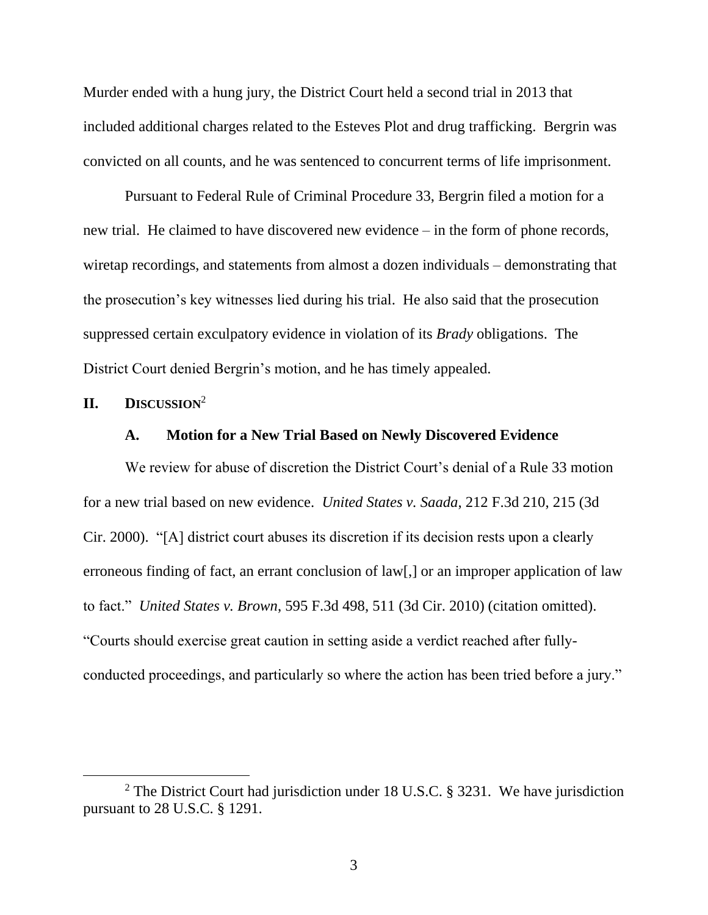Murder ended with a hung jury, the District Court held a second trial in 2013 that included additional charges related to the Esteves Plot and drug trafficking. Bergrin was convicted on all counts, and he was sentenced to concurrent terms of life imprisonment.

Pursuant to Federal Rule of Criminal Procedure 33, Bergrin filed a motion for a new trial. He claimed to have discovered new evidence – in the form of phone records, wiretap recordings, and statements from almost a dozen individuals – demonstrating that the prosecution's key witnesses lied during his trial. He also said that the prosecution suppressed certain exculpatory evidence in violation of its *Brady* obligations. The District Court denied Bergrin's motion, and he has timely appealed.

**II. DISCUSSION**<sup>2</sup>

#### **A. Motion for a New Trial Based on Newly Discovered Evidence**

We review for abuse of discretion the District Court's denial of a Rule 33 motion for a new trial based on new evidence. *United States v. Saada*, 212 F.3d 210, 215 (3d Cir. 2000). "[A] district court abuses its discretion if its decision rests upon a clearly erroneous finding of fact, an errant conclusion of law[,] or an improper application of law to fact." *United States v. Brown*, 595 F.3d 498, 511 (3d Cir. 2010) (citation omitted). "Courts should exercise great caution in setting aside a verdict reached after fullyconducted proceedings, and particularly so where the action has been tried before a jury."

<sup>&</sup>lt;sup>2</sup> The District Court had jurisdiction under 18 U.S.C. § 3231. We have jurisdiction pursuant to 28 U.S.C. § 1291.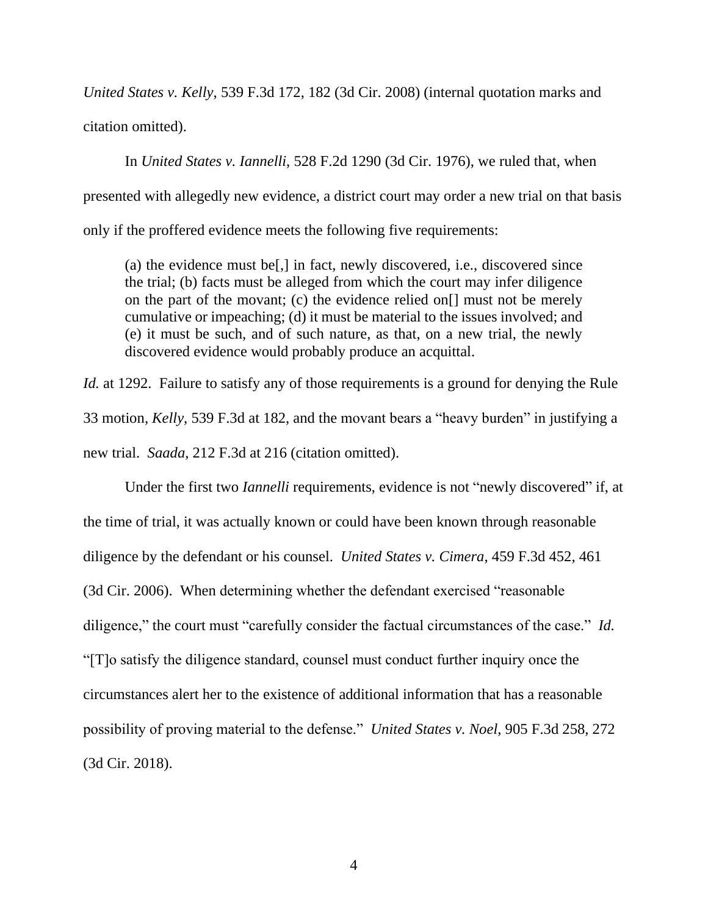*United States v. Kelly*, 539 F.3d 172, 182 (3d Cir. 2008) (internal quotation marks and citation omitted).

In *United States v. Iannelli*, 528 F.2d 1290 (3d Cir. 1976), we ruled that, when presented with allegedly new evidence, a district court may order a new trial on that basis only if the proffered evidence meets the following five requirements:

(a) the evidence must be[,] in fact, newly discovered, i.e., discovered since the trial; (b) facts must be alleged from which the court may infer diligence on the part of the movant; (c) the evidence relied on[] must not be merely cumulative or impeaching; (d) it must be material to the issues involved; and (e) it must be such, and of such nature, as that, on a new trial, the newly discovered evidence would probably produce an acquittal.

*Id.* at 1292. Failure to satisfy any of those requirements is a ground for denying the Rule 33 motion, *Kelly*, 539 F.3d at 182, and the movant bears a "heavy burden" in justifying a new trial. *Saada*, 212 F.3d at 216 (citation omitted).

Under the first two *Iannelli* requirements, evidence is not "newly discovered" if, at the time of trial, it was actually known or could have been known through reasonable diligence by the defendant or his counsel. *United States v. Cimera*, 459 F.3d 452, 461 (3d Cir. 2006). When determining whether the defendant exercised "reasonable diligence," the court must "carefully consider the factual circumstances of the case." *Id.* "[T]o satisfy the diligence standard, counsel must conduct further inquiry once the circumstances alert her to the existence of additional information that has a reasonable possibility of proving material to the defense." *United States v. Noel*, 905 F.3d 258, 272 (3d Cir. 2018).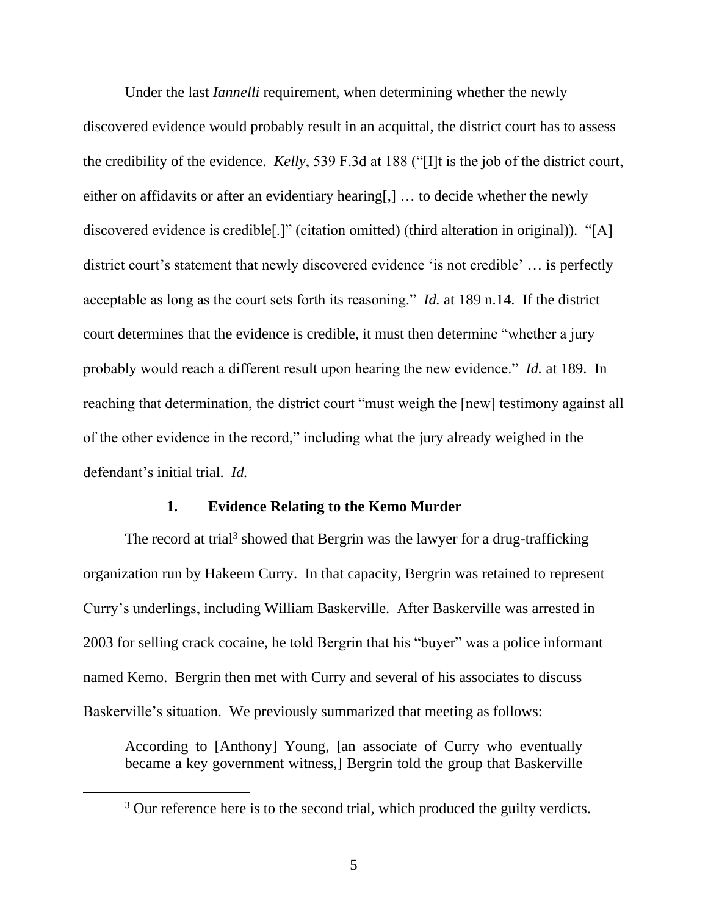Under the last *Iannelli* requirement, when determining whether the newly discovered evidence would probably result in an acquittal, the district court has to assess the credibility of the evidence. *Kelly*, 539 F.3d at 188 ("[I]t is the job of the district court, either on affidavits or after an evidentiary hearing[,] … to decide whether the newly discovered evidence is credible[.]" (citation omitted) (third alteration in original)). "[A] district court's statement that newly discovered evidence 'is not credible' … is perfectly acceptable as long as the court sets forth its reasoning." *Id.* at 189 n.14.If the district court determines that the evidence is credible, it must then determine "whether a jury probably would reach a different result upon hearing the new evidence." *Id.* at 189. In reaching that determination, the district court "must weigh the [new] testimony against all of the other evidence in the record," including what the jury already weighed in the defendant's initial trial. *Id.*

## **1. Evidence Relating to the Kemo Murder**

The record at trial<sup>3</sup> showed that Bergrin was the lawyer for a drug-trafficking organization run by Hakeem Curry. In that capacity, Bergrin was retained to represent Curry's underlings, including William Baskerville. After Baskerville was arrested in 2003 for selling crack cocaine, he told Bergrin that his "buyer" was a police informant named Kemo. Bergrin then met with Curry and several of his associates to discuss Baskerville's situation. We previously summarized that meeting as follows:

According to [Anthony] Young, [an associate of Curry who eventually became a key government witness,] Bergrin told the group that Baskerville

<sup>&</sup>lt;sup>3</sup> Our reference here is to the second trial, which produced the guilty verdicts.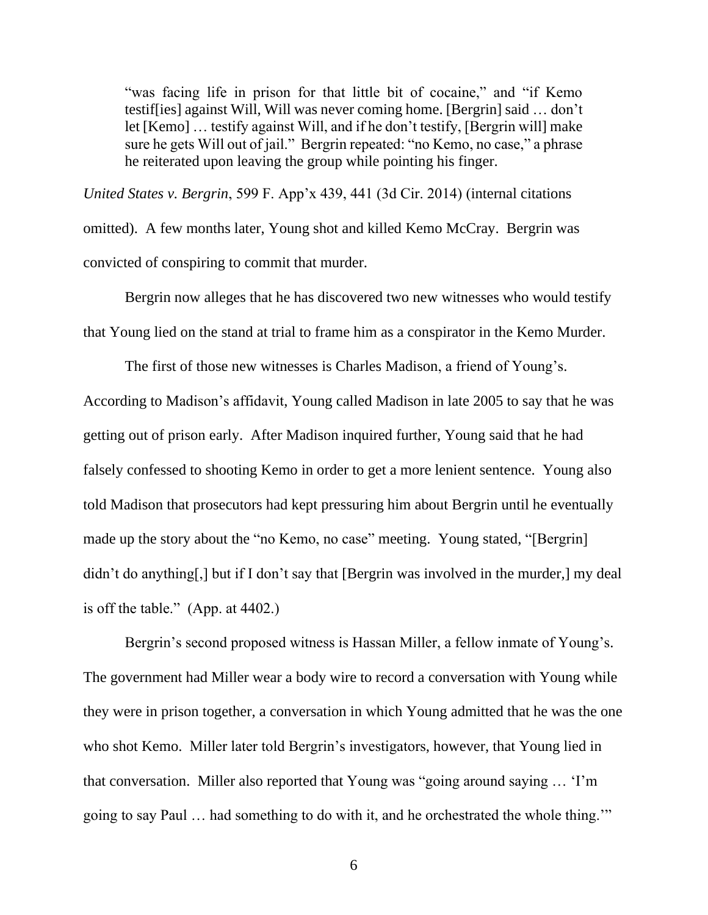"was facing life in prison for that little bit of cocaine," and "if Kemo" testif[ies] against Will, Will was never coming home. [Bergrin] said … don't let [Kemo] … testify against Will, and if he don't testify, [Bergrin will] make sure he gets Will out of jail." Bergrin repeated: "no Kemo, no case," a phrase he reiterated upon leaving the group while pointing his finger.

*United States v. Bergrin*, 599 F. App'x 439, 441 (3d Cir. 2014) (internal citations

omitted). A few months later, Young shot and killed Kemo McCray. Bergrin was convicted of conspiring to commit that murder.

Bergrin now alleges that he has discovered two new witnesses who would testify that Young lied on the stand at trial to frame him as a conspirator in the Kemo Murder.

The first of those new witnesses is Charles Madison, a friend of Young's. According to Madison's affidavit, Young called Madison in late 2005 to say that he was getting out of prison early. After Madison inquired further, Young said that he had falsely confessed to shooting Kemo in order to get a more lenient sentence. Young also told Madison that prosecutors had kept pressuring him about Bergrin until he eventually made up the story about the "no Kemo, no case" meeting. Young stated, "[Bergrin] didn't do anything[,] but if I don't say that [Bergrin was involved in the murder,] my deal is off the table." (App. at 4402.)

Bergrin's second proposed witness is Hassan Miller, a fellow inmate of Young's. The government had Miller wear a body wire to record a conversation with Young while they were in prison together, a conversation in which Young admitted that he was the one who shot Kemo. Miller later told Bergrin's investigators, however, that Young lied in that conversation. Miller also reported that Young was "going around saying … 'I'm going to say Paul … had something to do with it, and he orchestrated the whole thing.'"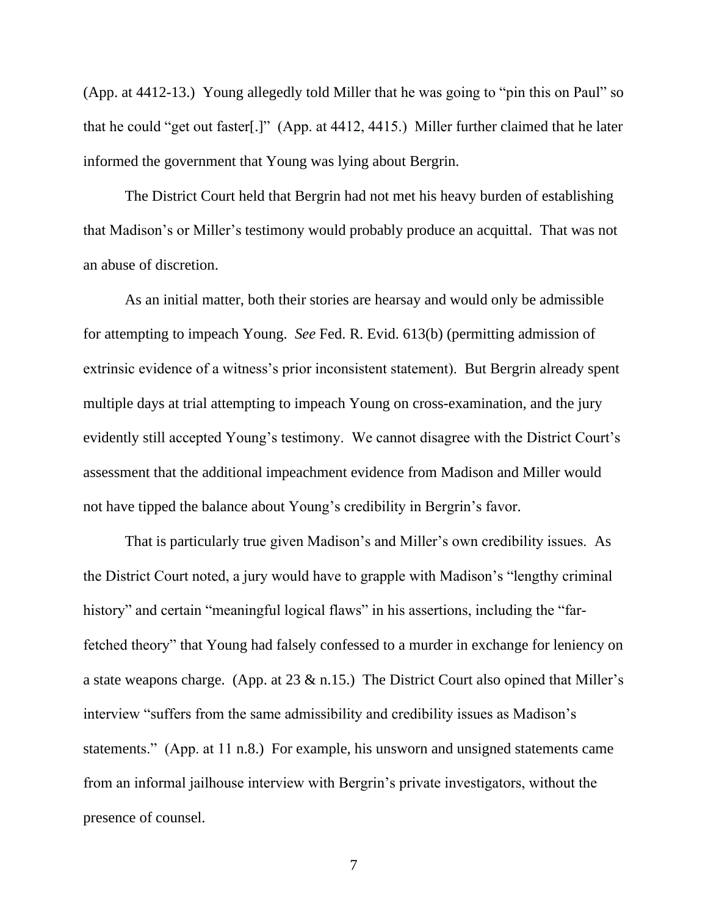(App. at 4412-13.) Young allegedly told Miller that he was going to "pin this on Paul" so that he could "get out faster[.]" (App. at 4412, 4415.) Miller further claimed that he later informed the government that Young was lying about Bergrin.

The District Court held that Bergrin had not met his heavy burden of establishing that Madison's or Miller's testimony would probably produce an acquittal. That was not an abuse of discretion.

As an initial matter, both their stories are hearsay and would only be admissible for attempting to impeach Young. *See* Fed. R. Evid. 613(b) (permitting admission of extrinsic evidence of a witness's prior inconsistent statement). But Bergrin already spent multiple days at trial attempting to impeach Young on cross-examination, and the jury evidently still accepted Young's testimony. We cannot disagree with the District Court's assessment that the additional impeachment evidence from Madison and Miller would not have tipped the balance about Young's credibility in Bergrin's favor.

That is particularly true given Madison's and Miller's own credibility issues. As the District Court noted, a jury would have to grapple with Madison's "lengthy criminal history" and certain "meaningful logical flaws" in his assertions, including the "farfetched theory" that Young had falsely confessed to a murder in exchange for leniency on a state weapons charge. (App. at 23 & n.15.) The District Court also opined that Miller's interview "suffers from the same admissibility and credibility issues as Madison's statements." (App. at 11 n.8.) For example, his unsworn and unsigned statements came from an informal jailhouse interview with Bergrin's private investigators, without the presence of counsel.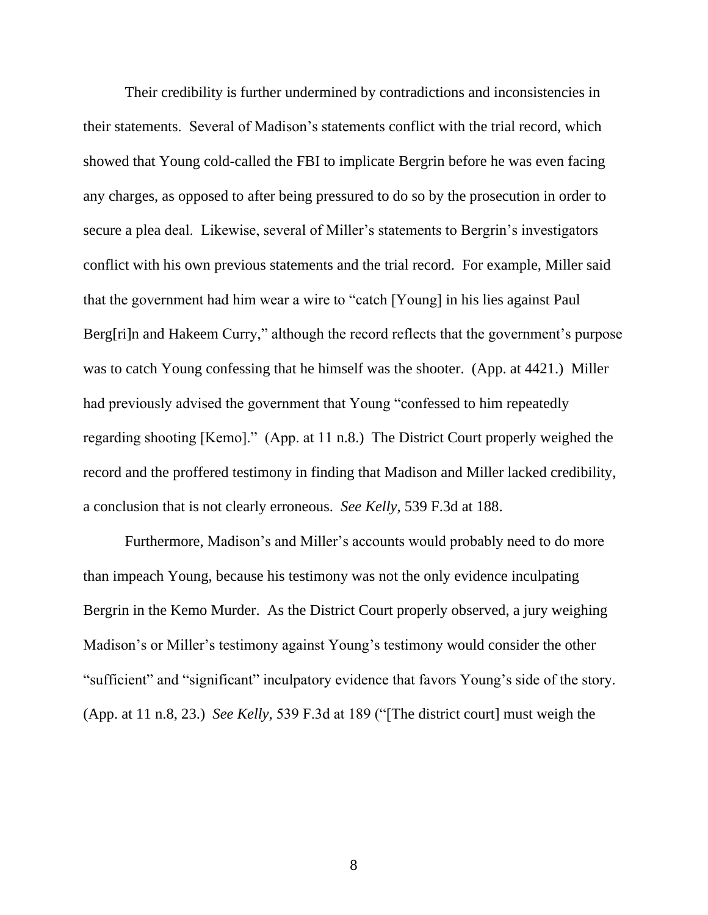Their credibility is further undermined by contradictions and inconsistencies in their statements. Several of Madison's statements conflict with the trial record, which showed that Young cold-called the FBI to implicate Bergrin before he was even facing any charges, as opposed to after being pressured to do so by the prosecution in order to secure a plea deal. Likewise, several of Miller's statements to Bergrin's investigators conflict with his own previous statements and the trial record. For example, Miller said that the government had him wear a wire to "catch [Young] in his lies against Paul Berg[ri]n and Hakeem Curry," although the record reflects that the government's purpose was to catch Young confessing that he himself was the shooter. (App. at 4421.) Miller had previously advised the government that Young "confessed to him repeatedly regarding shooting [Kemo]." (App. at 11 n.8.) The District Court properly weighed the record and the proffered testimony in finding that Madison and Miller lacked credibility, a conclusion that is not clearly erroneous. *See Kelly*, 539 F.3d at 188.

Furthermore, Madison's and Miller's accounts would probably need to do more than impeach Young, because his testimony was not the only evidence inculpating Bergrin in the Kemo Murder. As the District Court properly observed, a jury weighing Madison's or Miller's testimony against Young's testimony would consider the other "sufficient" and "significant" inculpatory evidence that favors Young's side of the story. (App. at 11 n.8, 23.) *See Kelly*, 539 F.3d at 189 ("[The district court] must weigh the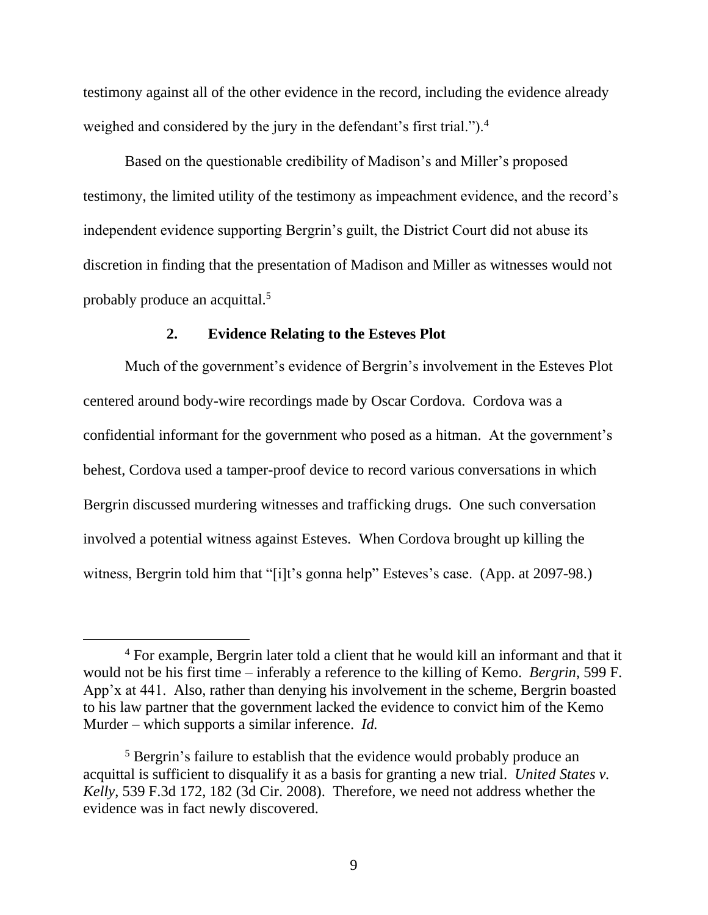testimony against all of the other evidence in the record, including the evidence already weighed and considered by the jury in the defendant's first trial.").<sup>4</sup>

Based on the questionable credibility of Madison's and Miller's proposed testimony, the limited utility of the testimony as impeachment evidence, and the record's independent evidence supporting Bergrin's guilt, the District Court did not abuse its discretion in finding that the presentation of Madison and Miller as witnesses would not probably produce an acquittal.<sup>5</sup>

#### **2. Evidence Relating to the Esteves Plot**

Much of the government's evidence of Bergrin's involvement in the Esteves Plot centered around body-wire recordings made by Oscar Cordova. Cordova was a confidential informant for the government who posed as a hitman. At the government's behest, Cordova used a tamper-proof device to record various conversations in which Bergrin discussed murdering witnesses and trafficking drugs. One such conversation involved a potential witness against Esteves. When Cordova brought up killing the witness, Bergrin told him that "[i]t's gonna help" Esteves's case. (App. at 2097-98.)

<sup>4</sup> For example, Bergrin later told a client that he would kill an informant and that it would not be his first time – inferably a reference to the killing of Kemo. *Bergrin*, 599 F. App'x at 441. Also, rather than denying his involvement in the scheme, Bergrin boasted to his law partner that the government lacked the evidence to convict him of the Kemo Murder – which supports a similar inference. *Id.*

<sup>&</sup>lt;sup>5</sup> Bergrin's failure to establish that the evidence would probably produce an acquittal is sufficient to disqualify it as a basis for granting a new trial. *United States v. Kelly*, 539 F.3d 172, 182 (3d Cir. 2008). Therefore, we need not address whether the evidence was in fact newly discovered.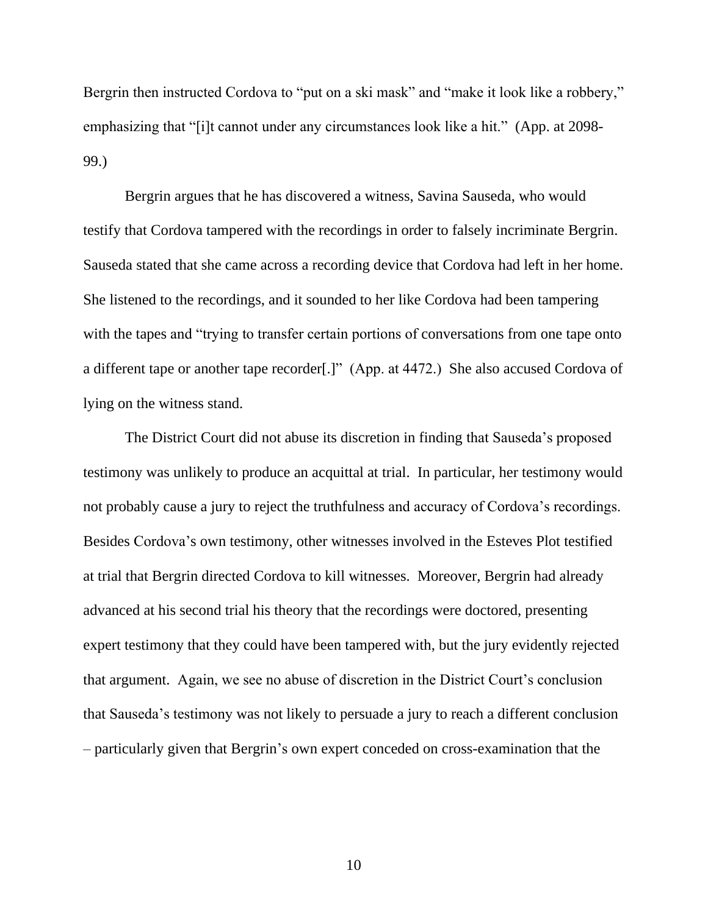Bergrin then instructed Cordova to "put on a ski mask" and "make it look like a robbery," emphasizing that "[i]t cannot under any circumstances look like a hit." (App. at 2098- 99.)

Bergrin argues that he has discovered a witness, Savina Sauseda, who would testify that Cordova tampered with the recordings in order to falsely incriminate Bergrin. Sauseda stated that she came across a recording device that Cordova had left in her home. She listened to the recordings, and it sounded to her like Cordova had been tampering with the tapes and "trying to transfer certain portions of conversations from one tape onto a different tape or another tape recorder[.]" (App. at 4472.) She also accused Cordova of lying on the witness stand.

The District Court did not abuse its discretion in finding that Sauseda's proposed testimony was unlikely to produce an acquittal at trial. In particular, her testimony would not probably cause a jury to reject the truthfulness and accuracy of Cordova's recordings. Besides Cordova's own testimony, other witnesses involved in the Esteves Plot testified at trial that Bergrin directed Cordova to kill witnesses. Moreover, Bergrin had already advanced at his second trial his theory that the recordings were doctored, presenting expert testimony that they could have been tampered with, but the jury evidently rejected that argument. Again, we see no abuse of discretion in the District Court's conclusion that Sauseda's testimony was not likely to persuade a jury to reach a different conclusion – particularly given that Bergrin's own expert conceded on cross-examination that the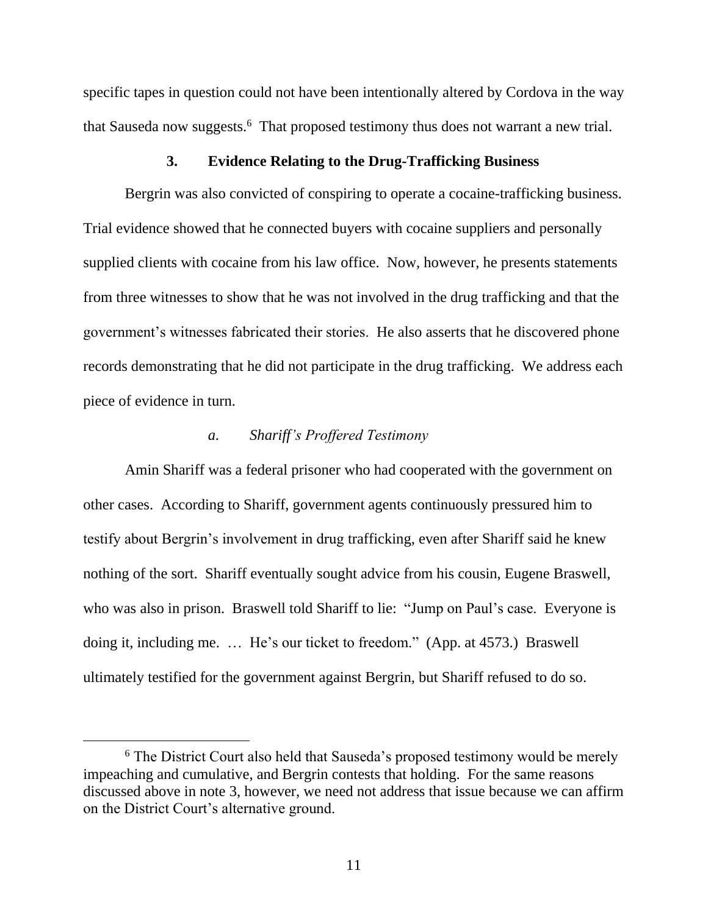specific tapes in question could not have been intentionally altered by Cordova in the way that Sauseda now suggests. 6 That proposed testimony thus does not warrant a new trial.

## **3. Evidence Relating to the Drug-Trafficking Business**

Bergrin was also convicted of conspiring to operate a cocaine-trafficking business. Trial evidence showed that he connected buyers with cocaine suppliers and personally supplied clients with cocaine from his law office. Now, however, he presents statements from three witnesses to show that he was not involved in the drug trafficking and that the government's witnesses fabricated their stories. He also asserts that he discovered phone records demonstrating that he did not participate in the drug trafficking. We address each piece of evidence in turn.

## *a. Shariff's Proffered Testimony*

Amin Shariff was a federal prisoner who had cooperated with the government on other cases. According to Shariff, government agents continuously pressured him to testify about Bergrin's involvement in drug trafficking, even after Shariff said he knew nothing of the sort. Shariff eventually sought advice from his cousin, Eugene Braswell, who was also in prison. Braswell told Shariff to lie: "Jump on Paul's case. Everyone is doing it, including me. … He's our ticket to freedom." (App. at 4573.) Braswell ultimately testified for the government against Bergrin, but Shariff refused to do so.

<sup>&</sup>lt;sup>6</sup> The District Court also held that Sauseda's proposed testimony would be merely impeaching and cumulative, and Bergrin contests that holding. For the same reasons discussed above in note 3, however, we need not address that issue because we can affirm on the District Court's alternative ground.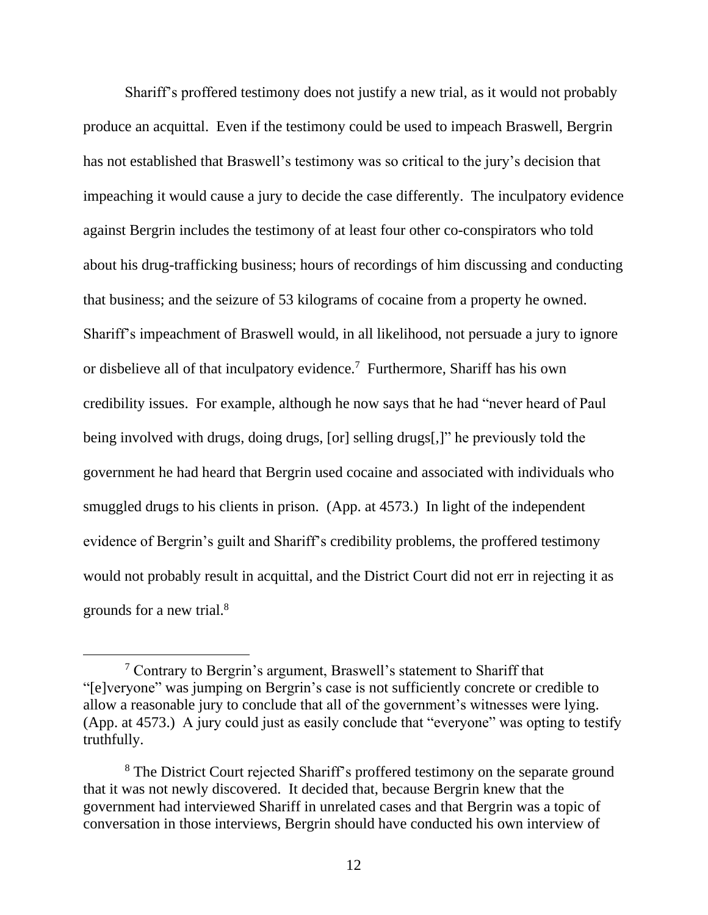Shariff's proffered testimony does not justify a new trial, as it would not probably produce an acquittal. Even if the testimony could be used to impeach Braswell, Bergrin has not established that Braswell's testimony was so critical to the jury's decision that impeaching it would cause a jury to decide the case differently. The inculpatory evidence against Bergrin includes the testimony of at least four other co-conspirators who told about his drug-trafficking business; hours of recordings of him discussing and conducting that business; and the seizure of 53 kilograms of cocaine from a property he owned. Shariff's impeachment of Braswell would, in all likelihood, not persuade a jury to ignore or disbelieve all of that inculpatory evidence.<sup>7</sup> Furthermore, Shariff has his own credibility issues. For example, although he now says that he had "never heard of Paul being involved with drugs, doing drugs, [or] selling drugs[,]" he previously told the government he had heard that Bergrin used cocaine and associated with individuals who smuggled drugs to his clients in prison. (App. at 4573.) In light of the independent evidence of Bergrin's guilt and Shariff's credibility problems, the proffered testimony would not probably result in acquittal, and the District Court did not err in rejecting it as grounds for a new trial. 8

<sup>7</sup> Contrary to Bergrin's argument, Braswell's statement to Shariff that "[e]veryone" was jumping on Bergrin's case is not sufficiently concrete or credible to allow a reasonable jury to conclude that all of the government's witnesses were lying. (App. at 4573.) A jury could just as easily conclude that "everyone" was opting to testify truthfully.

<sup>&</sup>lt;sup>8</sup> The District Court rejected Shariff's proffered testimony on the separate ground that it was not newly discovered. It decided that, because Bergrin knew that the government had interviewed Shariff in unrelated cases and that Bergrin was a topic of conversation in those interviews, Bergrin should have conducted his own interview of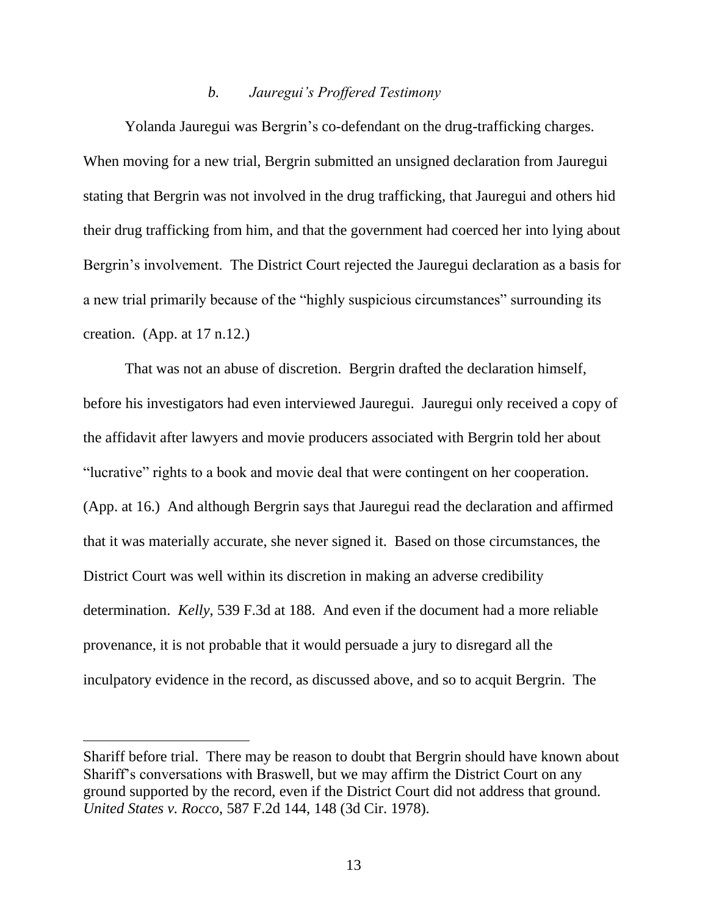## *b. Jauregui's Proffered Testimony*

Yolanda Jauregui was Bergrin's co-defendant on the drug-trafficking charges. When moving for a new trial, Bergrin submitted an unsigned declaration from Jauregui stating that Bergrin was not involved in the drug trafficking, that Jauregui and others hid their drug trafficking from him, and that the government had coerced her into lying about Bergrin's involvement. The District Court rejected the Jauregui declaration as a basis for a new trial primarily because of the "highly suspicious circumstances" surrounding its creation. (App. at  $17 \text{ n}.12$ .)

That was not an abuse of discretion. Bergrin drafted the declaration himself, before his investigators had even interviewed Jauregui. Jauregui only received a copy of the affidavit after lawyers and movie producers associated with Bergrin told her about "lucrative" rights to a book and movie deal that were contingent on her cooperation. (App. at 16.) And although Bergrin says that Jauregui read the declaration and affirmed that it was materially accurate, she never signed it. Based on those circumstances, the District Court was well within its discretion in making an adverse credibility determination. *Kelly*, 539 F.3d at 188. And even if the document had a more reliable provenance, it is not probable that it would persuade a jury to disregard all the inculpatory evidence in the record, as discussed above, and so to acquit Bergrin. The

Shariff before trial. There may be reason to doubt that Bergrin should have known about Shariff's conversations with Braswell, but we may affirm the District Court on any ground supported by the record, even if the District Court did not address that ground. *United States v. Rocco*, 587 F.2d 144, 148 (3d Cir. 1978).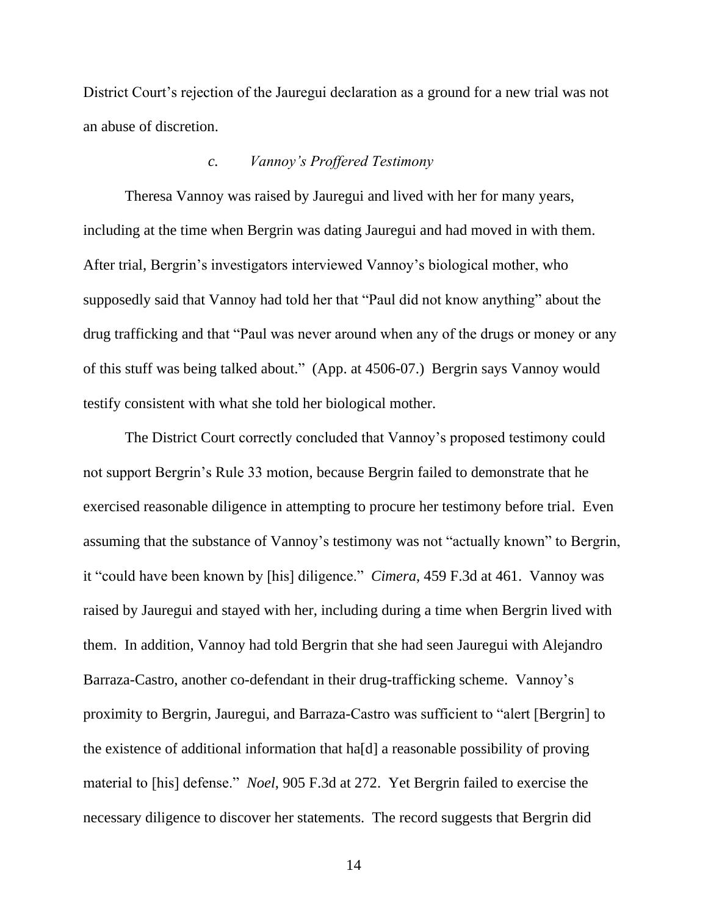District Court's rejection of the Jauregui declaration as a ground for a new trial was not an abuse of discretion.

## *c. Vannoy's Proffered Testimony*

Theresa Vannoy was raised by Jauregui and lived with her for many years, including at the time when Bergrin was dating Jauregui and had moved in with them. After trial, Bergrin's investigators interviewed Vannoy's biological mother, who supposedly said that Vannoy had told her that "Paul did not know anything" about the drug trafficking and that "Paul was never around when any of the drugs or money or any of this stuff was being talked about." (App. at 4506-07.) Bergrin says Vannoy would testify consistent with what she told her biological mother.

The District Court correctly concluded that Vannoy's proposed testimony could not support Bergrin's Rule 33 motion, because Bergrin failed to demonstrate that he exercised reasonable diligence in attempting to procure her testimony before trial. Even assuming that the substance of Vannoy's testimony was not "actually known" to Bergrin, it "could have been known by [his] diligence." *Cimera*, 459 F.3d at 461. Vannoy was raised by Jauregui and stayed with her, including during a time when Bergrin lived with them. In addition, Vannoy had told Bergrin that she had seen Jauregui with Alejandro Barraza-Castro, another co-defendant in their drug-trafficking scheme. Vannoy's proximity to Bergrin, Jauregui, and Barraza-Castro was sufficient to "alert [Bergrin] to the existence of additional information that ha[d] a reasonable possibility of proving material to [his] defense." *Noel*, 905 F.3d at 272. Yet Bergrin failed to exercise the necessary diligence to discover her statements. The record suggests that Bergrin did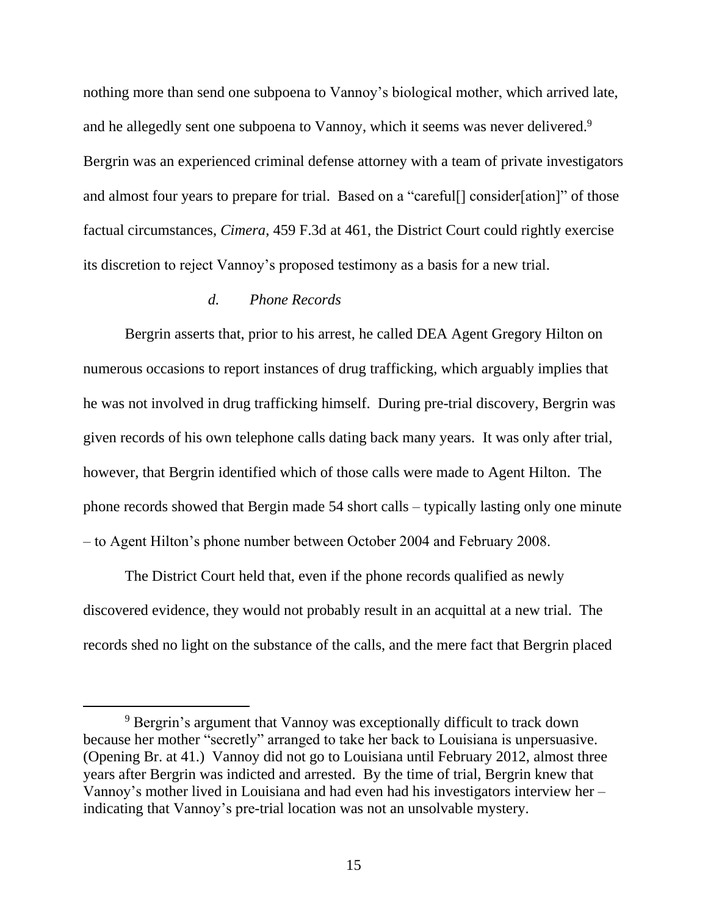nothing more than send one subpoena to Vannoy's biological mother, which arrived late, and he allegedly sent one subpoena to Vannoy, which it seems was never delivered.<sup>9</sup> Bergrin was an experienced criminal defense attorney with a team of private investigators and almost four years to prepare for trial. Based on a "careful[] consider[ation]" of those factual circumstances, *Cimera*, 459 F.3d at 461, the District Court could rightly exercise its discretion to reject Vannoy's proposed testimony as a basis for a new trial.

# *d. Phone Records*

Bergrin asserts that, prior to his arrest, he called DEA Agent Gregory Hilton on numerous occasions to report instances of drug trafficking, which arguably implies that he was not involved in drug trafficking himself. During pre-trial discovery, Bergrin was given records of his own telephone calls dating back many years. It was only after trial, however, that Bergrin identified which of those calls were made to Agent Hilton. The phone records showed that Bergin made 54 short calls – typically lasting only one minute – to Agent Hilton's phone number between October 2004 and February 2008.

The District Court held that, even if the phone records qualified as newly discovered evidence, they would not probably result in an acquittal at a new trial. The records shed no light on the substance of the calls, and the mere fact that Bergrin placed

<sup>9</sup> Bergrin's argument that Vannoy was exceptionally difficult to track down because her mother "secretly" arranged to take her back to Louisiana is unpersuasive. (Opening Br. at 41.) Vannoy did not go to Louisiana until February 2012, almost three years after Bergrin was indicted and arrested. By the time of trial, Bergrin knew that Vannoy's mother lived in Louisiana and had even had his investigators interview her – indicating that Vannoy's pre-trial location was not an unsolvable mystery.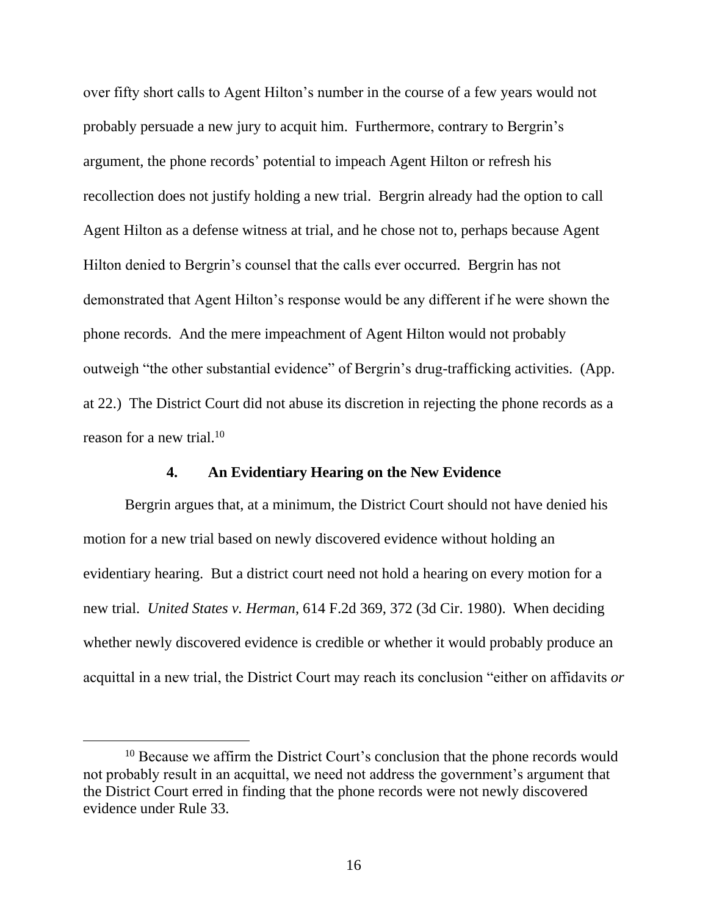over fifty short calls to Agent Hilton's number in the course of a few years would not probably persuade a new jury to acquit him. Furthermore, contrary to Bergrin's argument, the phone records' potential to impeach Agent Hilton or refresh his recollection does not justify holding a new trial. Bergrin already had the option to call Agent Hilton as a defense witness at trial, and he chose not to, perhaps because Agent Hilton denied to Bergrin's counsel that the calls ever occurred. Bergrin has not demonstrated that Agent Hilton's response would be any different if he were shown the phone records. And the mere impeachment of Agent Hilton would not probably outweigh "the other substantial evidence" of Bergrin's drug-trafficking activities. (App. at 22.) The District Court did not abuse its discretion in rejecting the phone records as a reason for a new trial. $10<sup>10</sup>$ 

# **4. An Evidentiary Hearing on the New Evidence**

Bergrin argues that, at a minimum, the District Court should not have denied his motion for a new trial based on newly discovered evidence without holding an evidentiary hearing. But a district court need not hold a hearing on every motion for a new trial. *United States v. Herman*, 614 F.2d 369, 372 (3d Cir. 1980). When deciding whether newly discovered evidence is credible or whether it would probably produce an acquittal in a new trial, the District Court may reach its conclusion "either on affidavits *or* 

<sup>&</sup>lt;sup>10</sup> Because we affirm the District Court's conclusion that the phone records would not probably result in an acquittal, we need not address the government's argument that the District Court erred in finding that the phone records were not newly discovered evidence under Rule 33.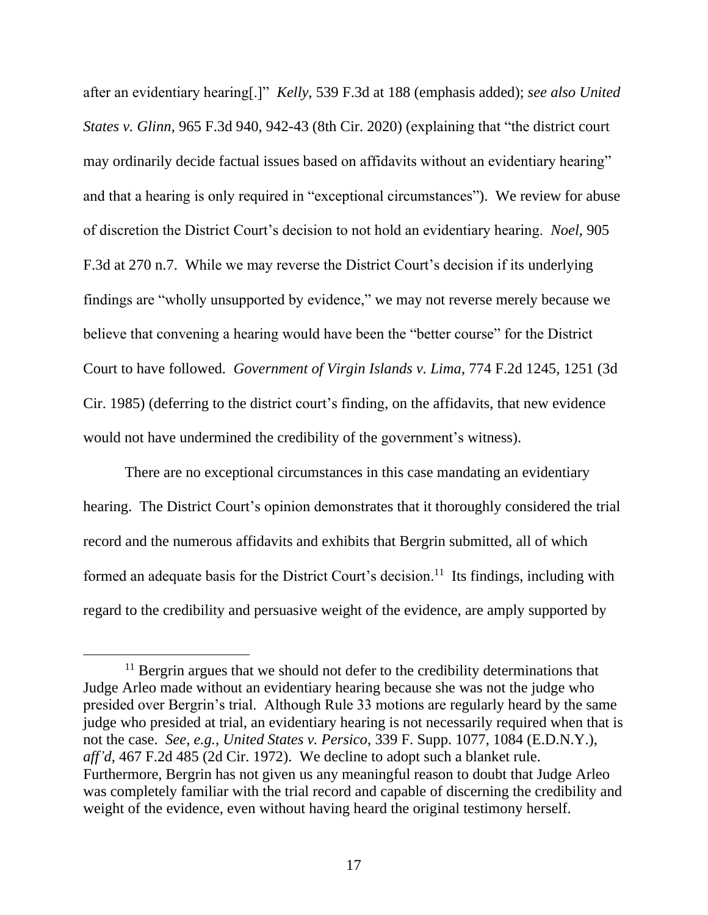after an evidentiary hearing[.]" *Kelly*, 539 F.3d at 188 (emphasis added); *see also United States v. Glinn*, 965 F.3d 940, 942-43 (8th Cir. 2020) (explaining that "the district court may ordinarily decide factual issues based on affidavits without an evidentiary hearing" and that a hearing is only required in "exceptional circumstances"). We review for abuse of discretion the District Court's decision to not hold an evidentiary hearing. *Noel*, 905 F.3d at 270 n.7. While we may reverse the District Court's decision if its underlying findings are "wholly unsupported by evidence," we may not reverse merely because we believe that convening a hearing would have been the "better course" for the District Court to have followed. *Government of Virgin Islands v. Lima*, 774 F.2d 1245, 1251 (3d Cir. 1985) (deferring to the district court's finding, on the affidavits, that new evidence would not have undermined the credibility of the government's witness).

There are no exceptional circumstances in this case mandating an evidentiary hearing. The District Court's opinion demonstrates that it thoroughly considered the trial record and the numerous affidavits and exhibits that Bergrin submitted, all of which formed an adequate basis for the District Court's decision.<sup>11</sup> Its findings, including with regard to the credibility and persuasive weight of the evidence, are amply supported by

 $11$  Bergrin argues that we should not defer to the credibility determinations that Judge Arleo made without an evidentiary hearing because she was not the judge who presided over Bergrin's trial. Although Rule 33 motions are regularly heard by the same judge who presided at trial, an evidentiary hearing is not necessarily required when that is not the case. *See, e.g.*, *United States v. Persico*, 339 F. Supp. 1077, 1084 (E.D.N.Y.), *aff'd*, 467 F.2d 485 (2d Cir. 1972). We decline to adopt such a blanket rule. Furthermore, Bergrin has not given us any meaningful reason to doubt that Judge Arleo was completely familiar with the trial record and capable of discerning the credibility and weight of the evidence, even without having heard the original testimony herself.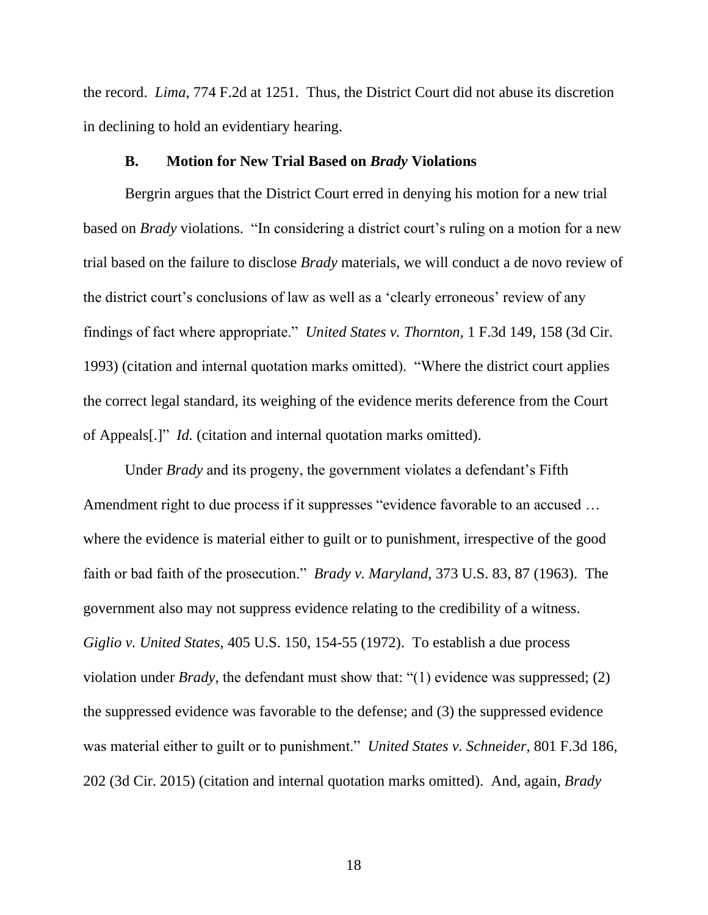the record. *Lima*, 774 F.2d at 1251. Thus, the District Court did not abuse its discretion in declining to hold an evidentiary hearing.

# **B. Motion for New Trial Based on** *Brady* **Violations**

Bergrin argues that the District Court erred in denying his motion for a new trial based on *Brady* violations. "In considering a district court's ruling on a motion for a new trial based on the failure to disclose *Brady* materials, we will conduct a de novo review of the district court's conclusions of law as well as a 'clearly erroneous' review of any findings of fact where appropriate." *United States v. Thornton*, 1 F.3d 149, 158 (3d Cir. 1993) (citation and internal quotation marks omitted). "Where the district court applies the correct legal standard, its weighing of the evidence merits deference from the Court of Appeals[.]" *Id.* (citation and internal quotation marks omitted).

Under *Brady* and its progeny, the government violates a defendant's Fifth Amendment right to due process if it suppresses "evidence favorable to an accused … where the evidence is material either to guilt or to punishment, irrespective of the good faith or bad faith of the prosecution." *Brady v. Maryland*, 373 U.S. 83, 87 (1963). The government also may not suppress evidence relating to the credibility of a witness. *Giglio v. United States*, 405 U.S. 150, 154-55 (1972). To establish a due process violation under *Brady,* the defendant must show that: "(1) evidence was suppressed; (2) the suppressed evidence was favorable to the defense; and (3) the suppressed evidence was material either to guilt or to punishment." *United States v. Schneider*, 801 F.3d 186, 202 (3d Cir. 2015) (citation and internal quotation marks omitted). And, again, *Brady*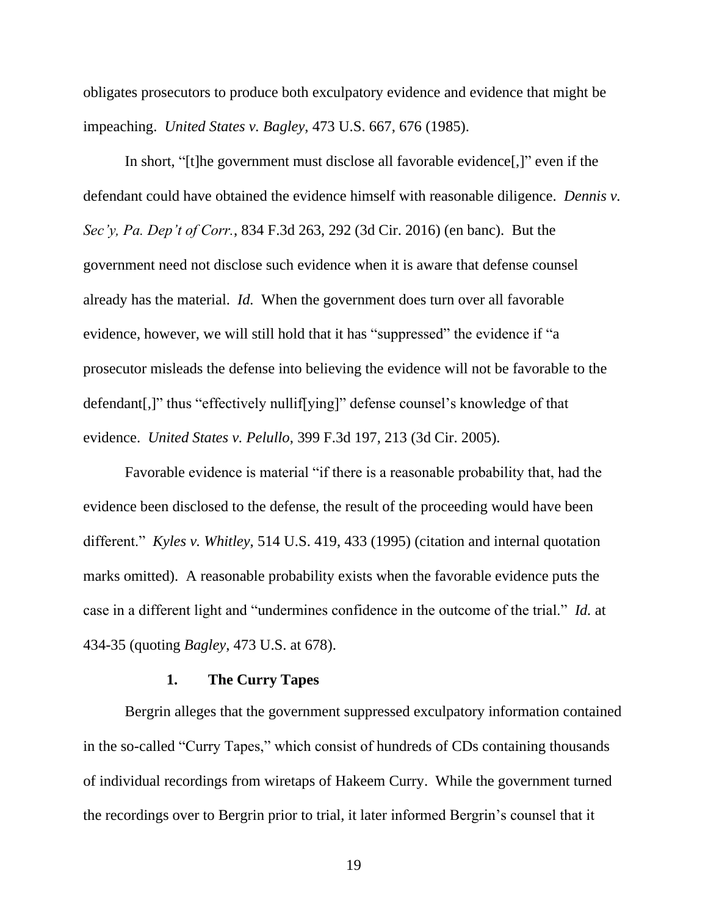obligates prosecutors to produce both exculpatory evidence and evidence that might be impeaching. *United States v. Bagley*, 473 U.S. 667, 676 (1985).

In short, "[t]he government must disclose all favorable evidence[,]" even if the defendant could have obtained the evidence himself with reasonable diligence. *Dennis v. Sec'y, Pa. Dep't of Corr.*, 834 F.3d 263, 292 (3d Cir. 2016) (en banc). But the government need not disclose such evidence when it is aware that defense counsel already has the material. *Id.* When the government does turn over all favorable evidence, however, we will still hold that it has "suppressed" the evidence if "a prosecutor misleads the defense into believing the evidence will not be favorable to the defendant[,]" thus "effectively nullif[ying]" defense counsel's knowledge of that evidence. *United States v. Pelullo*, 399 F.3d 197, 213 (3d Cir. 2005).

Favorable evidence is material "if there is a reasonable probability that, had the evidence been disclosed to the defense, the result of the proceeding would have been different." *Kyles v. Whitley*, 514 U.S. 419, 433 (1995) (citation and internal quotation marks omitted). A reasonable probability exists when the favorable evidence puts the case in a different light and "undermines confidence in the outcome of the trial." *Id.* at 434-35 (quoting *Bagley*, 473 U.S. at 678).

## **1. The Curry Tapes**

Bergrin alleges that the government suppressed exculpatory information contained in the so-called "Curry Tapes," which consist of hundreds of CDs containing thousands of individual recordings from wiretaps of Hakeem Curry. While the government turned the recordings over to Bergrin prior to trial, it later informed Bergrin's counsel that it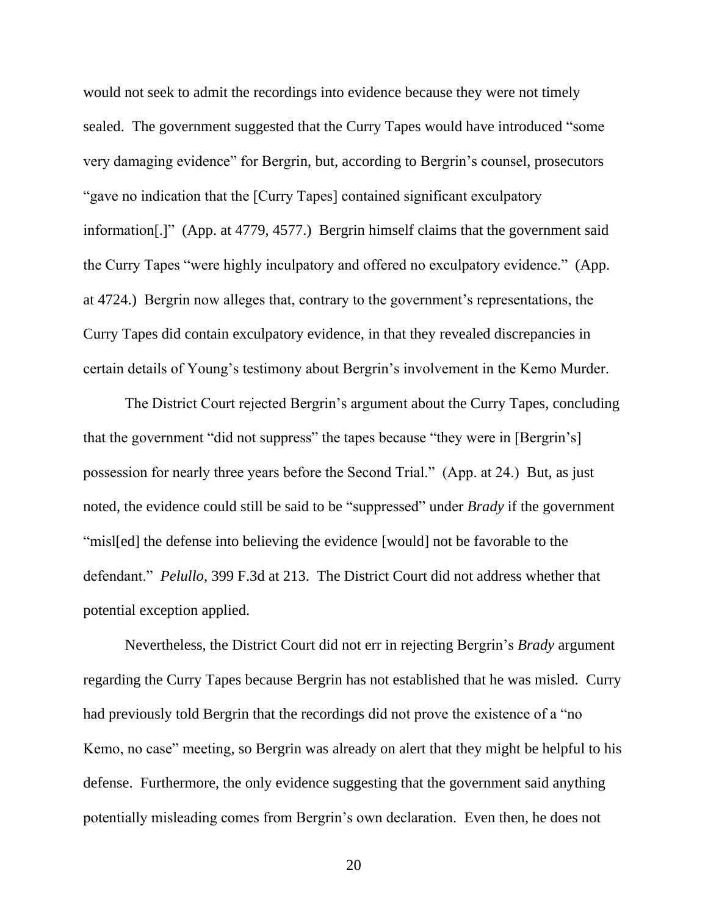would not seek to admit the recordings into evidence because they were not timely sealed. The government suggested that the Curry Tapes would have introduced "some very damaging evidence" for Bergrin, but, according to Bergrin's counsel, prosecutors "gave no indication that the [Curry Tapes] contained significant exculpatory information[.]" (App. at 4779, 4577.) Bergrin himself claims that the government said the Curry Tapes "were highly inculpatory and offered no exculpatory evidence." (App. at 4724.) Bergrin now alleges that, contrary to the government's representations, the Curry Tapes did contain exculpatory evidence, in that they revealed discrepancies in certain details of Young's testimony about Bergrin's involvement in the Kemo Murder.

The District Court rejected Bergrin's argument about the Curry Tapes, concluding that the government "did not suppress" the tapes because "they were in [Bergrin's] possession for nearly three years before the Second Trial." (App. at 24.) But, as just noted, the evidence could still be said to be "suppressed" under *Brady* if the government "misl[ed] the defense into believing the evidence [would] not be favorable to the defendant." *Pelullo*, 399 F.3d at 213. The District Court did not address whether that potential exception applied.

Nevertheless, the District Court did not err in rejecting Bergrin's *Brady* argument regarding the Curry Tapes because Bergrin has not established that he was misled. Curry had previously told Bergrin that the recordings did not prove the existence of a "no Kemo, no case" meeting, so Bergrin was already on alert that they might be helpful to his defense. Furthermore, the only evidence suggesting that the government said anything potentially misleading comes from Bergrin's own declaration. Even then, he does not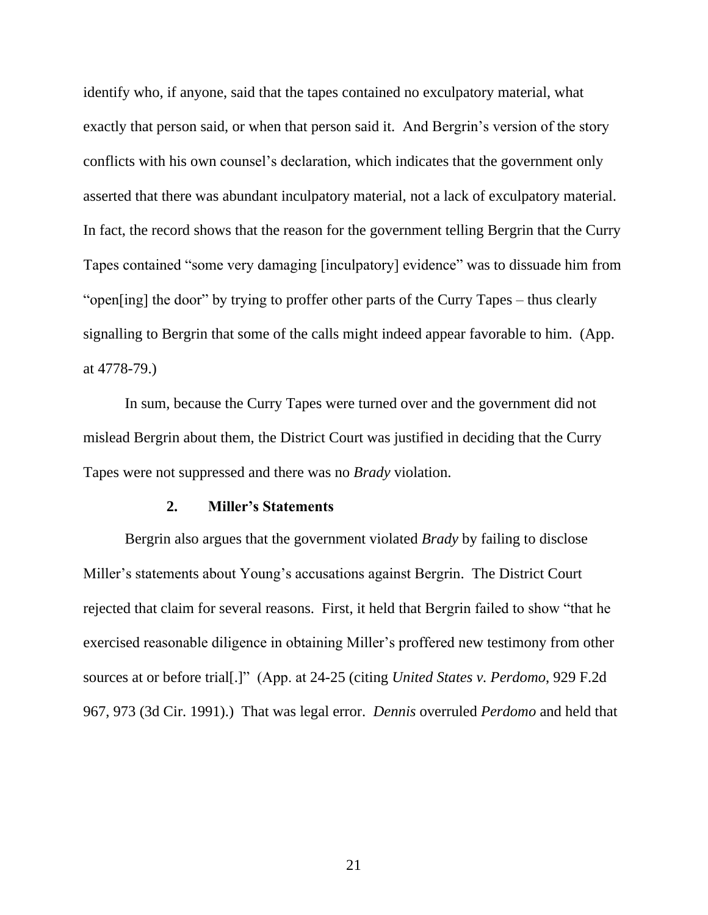identify who, if anyone, said that the tapes contained no exculpatory material, what exactly that person said, or when that person said it. And Bergrin's version of the story conflicts with his own counsel's declaration, which indicates that the government only asserted that there was abundant inculpatory material, not a lack of exculpatory material. In fact, the record shows that the reason for the government telling Bergrin that the Curry Tapes contained "some very damaging [inculpatory] evidence" was to dissuade him from "open[ing] the door" by trying to proffer other parts of the Curry Tapes – thus clearly signalling to Bergrin that some of the calls might indeed appear favorable to him. (App. at 4778-79.)

In sum, because the Curry Tapes were turned over and the government did not mislead Bergrin about them, the District Court was justified in deciding that the Curry Tapes were not suppressed and there was no *Brady* violation.

#### **2. Miller's Statements**

Bergrin also argues that the government violated *Brady* by failing to disclose Miller's statements about Young's accusations against Bergrin. The District Court rejected that claim for several reasons. First, it held that Bergrin failed to show "that he exercised reasonable diligence in obtaining Miller's proffered new testimony from other sources at or before trial[.]" (App. at 24-25 (citing *United States v. Perdomo*, 929 F.2d 967, 973 (3d Cir. 1991).) That was legal error. *Dennis* overruled *Perdomo* and held that